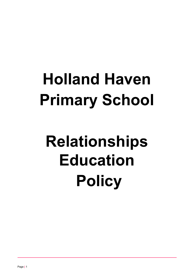# **Holland Haven Primary School**

# **Relationships Education Policy**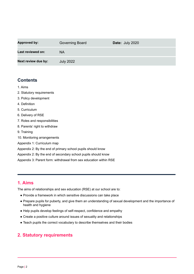| <b>Approved by:</b> | Governing Board  | Date: July 2020 |
|---------------------|------------------|-----------------|
| Last reviewed on:   | <b>NA</b>        |                 |
| Next review due by: | <b>July 2022</b> |                 |

# **Contents**

- 1. [Aims](#page-1-0)
- 2. Statutory [requirements](#page-1-1)
- 3. Policy [development](#page-2-0)
- 4. Definition
- 5. [Curriculum](#page-2-1)
- 6. [Delivery](#page-2-2) of RSE
- 7. Roles and [responsibilities](#page-3-0)
- 8. Parents' right to [withdraw](#page-4-0)
- 9. [Training](#page-4-1)
- 10. Monitoring [arrangements](#page-4-2)
- Appendix 1: [Curriculum](#page-5-0) map
- [Appendix](#page-8-0) 2: By the end of primary school pupils should know
- Appendix 2: By the end of secondary school pupils should know
- Appendix 3: Parent form: [withdrawal](#page-10-0) from sex education within RSE

# <span id="page-1-0"></span>**1. Aims**

The aims of relationships and sex education (RSE) at our school are to:

- Provide a framework in which sensitive discussions can take place
- Prepare pupils for puberty, and give them an understanding of sexual development and the importance of health and hygiene
- Help pupils develop feelings of self-respect, confidence and empathy
- Create a positive culture around issues of sexuality and relationships
- Teach pupils the correct vocabulary to describe themselves and their bodies

# <span id="page-1-1"></span>**2. Statutory requirements**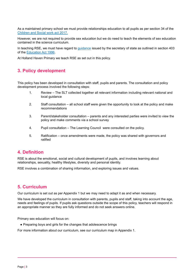As a maintained primary school we must provide relationships education to all pupils as per section 34 of the [Children](http://www.legislation.gov.uk/ukpga/2017/16/section/34/enacted) and Social work act 2017.

However, we are not required to provide sex [education](http://www.legislation.gov.uk/ukpga/2017/16/section/34/enacted) but we do need to teach the elements of sex education contained in the science [curriculum.](http://www.legislation.gov.uk/ukpga/2017/16/section/34/enacted)

In [teaching](http://www.legislation.gov.uk/ukpga/2017/16/section/34/enacted) RSE, we must have regard to [guidance](https://www.gov.uk/government/consultations/relationships-and-sex-education-and-health-education) issued by the [secretary](http://www.legislation.gov.uk/ukpga/2017/16/section/34/enacted) of state as outlined in section 403 of [the](http://www.legislation.gov.uk/ukpga/2017/16/section/34/enacted) [Education](http://www.legislation.gov.uk/ukpga/1996/56/contents) Act 1996[.](http://www.legislation.gov.uk/ukpga/2017/16/section/34/enacted)

<span id="page-2-0"></span>At Holland Haven [Primary](http://www.legislation.gov.uk/ukpga/2017/16/section/34/enacted) we teach RSE as set out in this policy.

## **3. Policy [development](http://www.legislation.gov.uk/ukpga/2017/16/section/34/enacted)**

This policy has been developed in consultation with staff, pupils and parents. The [consultation](http://www.legislation.gov.uk/ukpga/2017/16/section/34/enacted) and policy [development](http://www.legislation.gov.uk/ukpga/2017/16/section/34/enacted) process involved the following steps:

- 1. Review The SLT collected together all relevant [information](http://www.legislation.gov.uk/ukpga/2017/16/section/34/enacted) including relevant national and local [guidance](http://www.legislation.gov.uk/ukpga/2017/16/section/34/enacted)
- 2. Staff [consultation](http://www.legislation.gov.uk/ukpga/2017/16/section/34/enacted) all school staff were given the opportunity to look at the policy and make [recommendations](http://www.legislation.gov.uk/ukpga/2017/16/section/34/enacted)
- 3. [Parent/stakeholder](http://www.legislation.gov.uk/ukpga/2017/16/section/34/enacted) consultation parents and any interested parties were invited to view the policy and make [comments](http://www.legislation.gov.uk/ukpga/2017/16/section/34/enacted) via a school survey
- 4. Pupil [consultation](http://www.legislation.gov.uk/ukpga/2017/16/section/34/enacted) The Learning Council were consulted on the policy.
- 5. Ratification once [amendments](http://www.legislation.gov.uk/ukpga/2017/16/section/34/enacted) were made, the policy was shared with governors and [ratified](http://www.legislation.gov.uk/ukpga/2017/16/section/34/enacted)

### **4. [Definition](http://www.legislation.gov.uk/ukpga/2017/16/section/34/enacted)**

RSE is about the emotional, social and cultural [development](http://www.legislation.gov.uk/ukpga/2017/16/section/34/enacted) of pupils, and involves learning about [relationships,](http://www.legislation.gov.uk/ukpga/2017/16/section/34/enacted) sexuality, healthy lifestyles, diversity and personal identity.

RSE involves a [combination](http://www.legislation.gov.uk/ukpga/2017/16/section/34/enacted) of sharing information, and exploring issues and values.

## <span id="page-2-1"></span>**5. [Curriculum](http://www.legislation.gov.uk/ukpga/2017/16/section/34/enacted)**

Our curriculum is set out as per Appendix 1 but we may need to adapt it as and when [necessary.](http://www.legislation.gov.uk/ukpga/2017/16/section/34/enacted)

We have developed the curriculum in [consultation](http://www.legislation.gov.uk/ukpga/2017/16/section/34/enacted) with parents, pupils and staff, taking into account the age, needs and feelings of pupils. If pupils ask [questions](http://www.legislation.gov.uk/ukpga/2017/16/section/34/enacted) outside the scope of this policy, teachers will respond in an [appropriate](http://www.legislation.gov.uk/ukpga/2017/16/section/34/enacted) manner so they are fully informed and do not seek answers online.

Primary sex [education](http://www.legislation.gov.uk/ukpga/2017/16/section/34/enacted) will focus on:

● Preparing boys and girls for the changes that [adolescence](http://www.legislation.gov.uk/ukpga/2017/16/section/34/enacted) brings

<span id="page-2-2"></span>For more [information](http://www.legislation.gov.uk/ukpga/2017/16/section/34/enacted) about our curriculum, see our curriculum map in Appendix 1.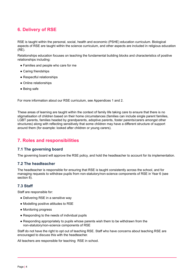# **6. [Delivery](http://www.legislation.gov.uk/ukpga/2017/16/section/34/enacted) of RSE**

RSE is taught within the personal, social, health and economic (PSHE) education [curriculum.](http://www.legislation.gov.uk/ukpga/2017/16/section/34/enacted) Biological aspects of RSE are taught within the science [curriculum,](http://www.legislation.gov.uk/ukpga/2017/16/section/34/enacted) and other aspects are included in religious education [\(RE\).](http://www.legislation.gov.uk/ukpga/2017/16/section/34/enacted)

Relationships education focuses on teaching the fundamental building blocks and [characteristics](http://www.legislation.gov.uk/ukpga/2017/16/section/34/enacted) of positive [relationships](http://www.legislation.gov.uk/ukpga/2017/16/section/34/enacted) including:

- [Families](http://www.legislation.gov.uk/ukpga/2017/16/section/34/enacted) and people who care for me
- Caring [friendships](http://www.legislation.gov.uk/ukpga/2017/16/section/34/enacted)
- Respectful [relationships](http://www.legislation.gov.uk/ukpga/2017/16/section/34/enacted)
- Online [relationships](http://www.legislation.gov.uk/ukpga/2017/16/section/34/enacted)
- [Being](http://www.legislation.gov.uk/ukpga/2017/16/section/34/enacted) safe

For more information about our RSE curriculum, see [Appendices](http://www.legislation.gov.uk/ukpga/2017/16/section/34/enacted) 1 and 2.

These areas of [learning](http://www.legislation.gov.uk/ukpga/2017/16/section/34/enacted) are taught within the context of family life taking care to ensure that there is no stigmatisation of children based on their home [circumstances](http://www.legislation.gov.uk/ukpga/2017/16/section/34/enacted) (families can include single parent families, LGBT parents, families headed by grandparents, adoptive parents, foster [parents/carers](http://www.legislation.gov.uk/ukpga/2017/16/section/34/enacted) amongst other [structures\)](http://www.legislation.gov.uk/ukpga/2017/16/section/34/enacted) along with reflecting sensitively that some children may have a different structure of support around them (for [example:](http://www.legislation.gov.uk/ukpga/2017/16/section/34/enacted) looked after children or young carers).

# <span id="page-3-0"></span>**7. Roles and [responsibilities](http://www.legislation.gov.uk/ukpga/2017/16/section/34/enacted)**

### **[7.1 The governing board](http://www.legislation.gov.uk/ukpga/2017/16/section/34/enacted)**

The governing board will approve the RSE policy, and hold the headteacher to account for its [implementation.](http://www.legislation.gov.uk/ukpga/2017/16/section/34/enacted)

### **[7.2 The headteacher](http://www.legislation.gov.uk/ukpga/2017/16/section/34/enacted)**

The [headteacher](http://www.legislation.gov.uk/ukpga/2017/16/section/34/enacted) is responsible for ensuring that RSE is taught consistently across the school, and for managing requests to withdraw pupils from [non-statutory/non-science](http://www.legislation.gov.uk/ukpga/2017/16/section/34/enacted) components of RSE in Year 6 (see [section](http://www.legislation.gov.uk/ukpga/2017/16/section/34/enacted) 8).

### **[7.3 Staff](http://www.legislation.gov.uk/ukpga/2017/16/section/34/enacted)**

Staff are [responsible](http://www.legislation.gov.uk/ukpga/2017/16/section/34/enacted) for:

- [Delivering](http://www.legislation.gov.uk/ukpga/2017/16/section/34/enacted) RSE in a sensitive way
- [Modelling](http://www.legislation.gov.uk/ukpga/2017/16/section/34/enacted) positive attitudes to RSE
- [Monitoring](http://www.legislation.gov.uk/ukpga/2017/16/section/34/enacted) progress
- [Responding](http://www.legislation.gov.uk/ukpga/2017/16/section/34/enacted) to the needs of individual pupils
- Responding [appropriately](http://www.legislation.gov.uk/ukpga/2017/16/section/34/enacted) to pupils whose parents wish them to be withdrawn from the [non-statutory/non-science](http://www.legislation.gov.uk/ukpga/2017/16/section/34/enacted) components of RSE

Staff do not have the right to opt out of teaching RSE. Staff who have [concerns](http://www.legislation.gov.uk/ukpga/2017/16/section/34/enacted) about teaching RSE are encouraged to discuss this with the [headteacher.](http://www.legislation.gov.uk/ukpga/2017/16/section/34/enacted)

All teachers are [responsible](http://www.legislation.gov.uk/ukpga/2017/16/section/34/enacted) for teaching RSE in school.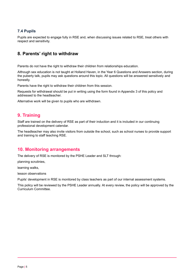## **[7.4 Pupils](http://www.legislation.gov.uk/ukpga/2017/16/section/34/enacted)**

Pupils are expected to engage fully in RSE and, when [discussing](http://www.legislation.gov.uk/ukpga/2017/16/section/34/enacted) issues related to RSE, treat others with respect and [sensitivity.](http://www.legislation.gov.uk/ukpga/2017/16/section/34/enacted)

# <span id="page-4-0"></span>**8. Parents' right to [withdraw](http://www.legislation.gov.uk/ukpga/2017/16/section/34/enacted)**

Parents do not have the right to withdraw their children from [relationships](http://www.legislation.gov.uk/ukpga/2017/16/section/34/enacted) education.

Although sex education is not taught at Holland Haven, in the Year 6 [Questions](http://www.legislation.gov.uk/ukpga/2017/16/section/34/enacted) and Answers section, during the puberty talk, pupils may ask questions around this topic. All questions will be answered [sensitively](http://www.legislation.gov.uk/ukpga/2017/16/section/34/enacted) and [honestly.](http://www.legislation.gov.uk/ukpga/2017/16/section/34/enacted)

Parents have the right to [withdraw](http://www.legislation.gov.uk/ukpga/2017/16/section/34/enacted) their children from this session.

Requests for [withdrawal](http://www.legislation.gov.uk/ukpga/2017/16/section/34/enacted) should be put in writing using the form found in Appendix 3 of this policy and addressed to the [headteacher.](http://www.legislation.gov.uk/ukpga/2017/16/section/34/enacted)

<span id="page-4-1"></span>Alternative work will be given to pupils who are [withdrawn.](http://www.legislation.gov.uk/ukpga/2017/16/section/34/enacted)

## **9. [Training](http://www.legislation.gov.uk/ukpga/2017/16/section/34/enacted)**

Staff are trained on the delivery of RSE as part of their induction and it is included in our [continuing](http://www.legislation.gov.uk/ukpga/2017/16/section/34/enacted) professional [development](http://www.legislation.gov.uk/ukpga/2017/16/section/34/enacted) calendar.

The [headteacher](http://www.legislation.gov.uk/ukpga/2017/16/section/34/enacted) may also invite visitors from outside the school, such as school nurses to provide support and training to staff [teaching](http://www.legislation.gov.uk/ukpga/2017/16/section/34/enacted) RSE.

## <span id="page-4-2"></span>**10. Monitoring [arrangements](http://www.legislation.gov.uk/ukpga/2017/16/section/34/enacted)**

The delivery of RSE is [monitored](http://www.legislation.gov.uk/ukpga/2017/16/section/34/enacted) by the PSHE Leader and SLT through:

planning [scrutinies,](http://www.legislation.gov.uk/ukpga/2017/16/section/34/enacted)

[learning](http://www.legislation.gov.uk/ukpga/2017/16/section/34/enacted) walks,

lesson [observations](http://www.legislation.gov.uk/ukpga/2017/16/section/34/enacted)

Pupils' [development](http://www.legislation.gov.uk/ukpga/2017/16/section/34/enacted) in RSE is monitored by class teachers as part of our internal assessment systems.

This policy will be reviewed by the PSHE Leader annually. At every review, the policy will be [approved](http://www.legislation.gov.uk/ukpga/2017/16/section/34/enacted) by the Curriculum [Committee.](http://www.legislation.gov.uk/ukpga/2017/16/section/34/enacted)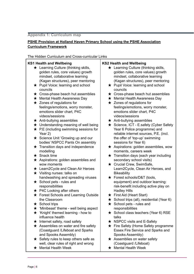#### <span id="page-5-0"></span>**[Appendix 1: Curriculum map](http://www.legislation.gov.uk/ukpga/2017/16/section/34/enacted)**

## **PSHE Provision at Holland Haven Primary School using the PSHE [Association](http://www.legislation.gov.uk/ukpga/2017/16/section/34/enacted) Curriculum [Framework](http://www.legislation.gov.uk/ukpga/2017/16/section/34/enacted)**

The Hidden Curriculum and [Cross-curricular](http://www.legislation.gov.uk/ukpga/2017/16/section/34/enacted) Links

### **KS1 Health and [Wellbeing](http://www.legislation.gov.uk/ukpga/2017/16/section/34/enacted)**

- $\star$  [Learning](http://www.legislation.gov.uk/ukpga/2017/16/section/34/enacted) Culture (thinking skills, golden rules, core [values\)](http://www.legislation.gov.uk/ukpga/2017/16/section/34/enacted) growth mindset, [collaborative](http://www.legislation.gov.uk/ukpga/2017/16/section/34/enacted) learning (Kagan [structures\),](http://www.legislation.gov.uk/ukpga/2017/16/section/34/enacted) peer mentoring
- **★** Pupil Voice: [learning](http://www.legislation.gov.uk/ukpga/2017/16/section/34/enacted) and school [councils](http://www.legislation.gov.uk/ukpga/2017/16/section/34/enacted)
- $\star$  [Cross-phase](http://www.legislation.gov.uk/ukpga/2017/16/section/34/enacted) beach hut assemblies
- **★** Mental Health [Awareness](http://www.legislation.gov.uk/ukpga/2017/16/section/34/enacted) Dav
- $\star$  Zones of [regulations](http://www.legislation.gov.uk/ukpga/2017/16/section/34/enacted) for [feelings/emotions,](http://www.legislation.gov.uk/ukpga/2017/16/section/34/enacted) worry monster, [emotions](http://www.legislation.gov.uk/ukpga/2017/16/section/34/enacted) slider chart, P4C [videos/sessions](http://www.legislation.gov.uk/ukpga/2017/16/section/34/enacted)
- $\star$  [Anti-bullying](http://www.legislation.gov.uk/ukpga/2017/16/section/34/enacted) assemblies
- $\star$  [Understanding](http://www.legislation.gov.uk/ukpga/2017/16/section/34/enacted) meaning of well being
- $\bigstar$  P.E (including [swimming](http://www.legislation.gov.uk/ukpga/2017/16/section/34/enacted) sessions for [Year](http://www.legislation.gov.uk/ukpga/2017/16/section/34/enacted) 2)
- ★ Science Unit ['Growing](http://www.legislation.gov.uk/ukpga/2017/16/section/34/enacted) up and our bodies' NSPCC Pants On [assembly](http://www.legislation.gov.uk/ukpga/2017/16/section/34/enacted)
- $\star$  Transition days and [independence](http://www.legislation.gov.uk/ukpga/2017/16/section/34/enacted) [modelling](http://www.legislation.gov.uk/ukpga/2017/16/section/34/enacted)
- ★ [Snack](http://www.legislation.gov.uk/ukpga/2017/16/section/34/enacted) time
- ★ [Aspirations:](http://www.legislation.gov.uk/ukpga/2017/16/section/34/enacted) golden assemblies and wow [moments](http://www.legislation.gov.uk/ukpga/2017/16/section/34/enacted)
- **★ [Learn2Cycle](http://www.legislation.gov.uk/ukpga/2017/16/section/34/enacted) and Clean Air Heroes**
- $\star$  Visiting [nurses:](http://www.legislation.gov.uk/ukpga/2017/16/section/34/enacted) talks on [handwashing](http://www.legislation.gov.uk/ukpga/2017/16/section/34/enacted) and spreading viruses
- $\star$  [School](http://www.legislation.gov.uk/ukpga/2017/16/section/34/enacted) pets rules and [responsibilities](http://www.legislation.gov.uk/ukpga/2017/16/section/34/enacted)
- $\star$  P4C [Looking](http://www.legislation.gov.uk/ukpga/2017/16/section/34/enacted) after others
- ★ Forest Schools and [Learning](http://www.legislation.gov.uk/ukpga/2017/16/section/34/enacted) Outside the [Classroom](http://www.legislation.gov.uk/ukpga/2017/16/section/34/enacted)
- ★ [School](http://www.legislation.gov.uk/ukpga/2017/16/section/34/enacted) trips
- ★ ['Minibeast'](http://www.legislation.gov.uk/ukpga/2017/16/section/34/enacted) theme well being aspect
- $\star$  'Knight' themed [learning](http://www.legislation.gov.uk/ukpga/2017/16/section/34/enacted) how to [influence](http://www.legislation.gov.uk/ukpga/2017/16/section/34/enacted) health
- $\star$  [Internet](http://www.legislation.gov.uk/ukpga/2017/16/section/34/enacted) safety, road safety
- $\star$  [Assemblies](http://www.legislation.gov.uk/ukpga/2017/16/section/34/enacted) on water and fire safety [\(Coastguard](http://www.legislation.gov.uk/ukpga/2017/16/section/34/enacted) /Lifeboat and Sparks and Spooks [Assembly\)](http://www.legislation.gov.uk/ukpga/2017/16/section/34/enacted)
- $\star$  [Safety](http://www.legislation.gov.uk/ukpga/2017/16/section/34/enacted) rules to keep others safe as well, clear rules of right and [wrong](http://www.legislation.gov.uk/ukpga/2017/16/section/34/enacted)
- ★ [Mental](http://www.legislation.gov.uk/ukpga/2017/16/section/34/enacted) Health Week

### **KS2 Health and [Wellbeing](http://www.legislation.gov.uk/ukpga/2017/16/section/34/enacted)**

- **★ [Learning](http://www.legislation.gov.uk/ukpga/2017/16/section/34/enacted) Culture (thinking skills,** golden rules, core [values\)](http://www.legislation.gov.uk/ukpga/2017/16/section/34/enacted) growth mindset, [collaborative](http://www.legislation.gov.uk/ukpga/2017/16/section/34/enacted) learning (Kagan [structures\),](http://www.legislation.gov.uk/ukpga/2017/16/section/34/enacted) peer mentoring
- ★ Pupil Voice: [learning](http://www.legislation.gov.uk/ukpga/2017/16/section/34/enacted) and school [councils](http://www.legislation.gov.uk/ukpga/2017/16/section/34/enacted)
- $\star$  [Cross-phase](http://www.legislation.gov.uk/ukpga/2017/16/section/34/enacted) beach hut assemblies
- **★** Mental Health [Awareness](http://www.legislation.gov.uk/ukpga/2017/16/section/34/enacted) Dav
- $\star$  Zones of [regulations](http://www.legislation.gov.uk/ukpga/2017/16/section/34/enacted) for [feelings/emotions,](http://www.legislation.gov.uk/ukpga/2017/16/section/34/enacted) worry monster, [emotions](http://www.legislation.gov.uk/ukpga/2017/16/section/34/enacted) slider chart, P4C [videos/sessions](http://www.legislation.gov.uk/ukpga/2017/16/section/34/enacted)
- $\star$  [Anti-bullying](http://www.legislation.gov.uk/ukpga/2017/16/section/34/enacted) assemblies
- ★ [Science,](http://www.legislation.gov.uk/ukpga/2017/16/section/34/enacted) ICT E.safety (Cyber Safety Year 6 Police [programme\)](http://www.legislation.gov.uk/ukpga/2017/16/section/34/enacted) and reliable internet [sources,](http://www.legislation.gov.uk/ukpga/2017/16/section/34/enacted) P.E. (incl. the offer of 'top-up' [swimming](http://www.legislation.gov.uk/ukpga/2017/16/section/34/enacted) [sessions](http://www.legislation.gov.uk/ukpga/2017/16/section/34/enacted) for Year 6)
- $\star$  Aspirations: golden [assemblies,](http://www.legislation.gov.uk/ukpga/2017/16/section/34/enacted) wow [moments,](http://www.legislation.gov.uk/ukpga/2017/16/section/34/enacted) careers week
- $\star$  [Transition](http://www.legislation.gov.uk/ukpga/2017/16/section/34/enacted) days (each year including [secondary](http://www.legislation.gov.uk/ukpga/2017/16/section/34/enacted) school visits)
- ★ Crucial Crew, [SwimSafe,](http://www.legislation.gov.uk/ukpga/2017/16/section/34/enacted) [Learn2Cycle,](http://www.legislation.gov.uk/ukpga/2017/16/section/34/enacted) Clean Air Heroes, and **[Bikeability](http://www.legislation.gov.uk/ukpga/2017/16/section/34/enacted)**
- ★ Forest [schools/D&T](http://www.legislation.gov.uk/ukpga/2017/16/section/34/enacted) (tools, [equipment\)](http://www.legislation.gov.uk/ukpga/2017/16/section/34/enacted) and outdoor learning: [risk-benefit](http://www.legislation.gov.uk/ukpga/2017/16/section/34/enacted) including active play on [Hadley](http://www.legislation.gov.uk/ukpga/2017/16/section/34/enacted) Hills
- $\star$  First Aid [\(Heart](http://www.legislation.gov.uk/ukpga/2017/16/section/34/enacted) Start)
- $\star$  School trips (all), [residential](http://www.legislation.gov.uk/ukpga/2017/16/section/34/enacted) (Year 6)
- $\star$  [School](http://www.legislation.gov.uk/ukpga/2017/16/section/34/enacted) pets rules and [responsibilities](http://www.legislation.gov.uk/ukpga/2017/16/section/34/enacted)
- ★ School class [teachers](http://www.legislation.gov.uk/ukpga/2017/16/section/34/enacted) (Year 6) RSE [talks](http://www.legislation.gov.uk/ukpga/2017/16/section/34/enacted)
- ★ NSPCC visits and [E-Safety](http://www.legislation.gov.uk/ukpga/2017/16/section/34/enacted)
- ★ Fire Safety (Home Safety [programme](http://www.legislation.gov.uk/ukpga/2017/16/section/34/enacted) Essex Fire [Service](http://www.legislation.gov.uk/ukpga/2017/16/section/34/enacted) and Sparks and Spooks [Assembly\)](http://www.legislation.gov.uk/ukpga/2017/16/section/34/enacted)
- $\star$  [Assemblies](http://www.legislation.gov.uk/ukpga/2017/16/section/34/enacted) on water safety [\(Coastguard](http://www.legislation.gov.uk/ukpga/2017/16/section/34/enacted) /Lifeboat)
- ★ [Mental](http://www.legislation.gov.uk/ukpga/2017/16/section/34/enacted) Health Week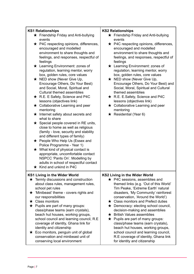### **KS1 [Relationships](http://www.legislation.gov.uk/ukpga/2017/16/section/34/enacted)**

- $\star$  Friendship Friday and [Anti-bullying](http://www.legislation.gov.uk/ukpga/2017/16/section/34/enacted) [events](http://www.legislation.gov.uk/ukpga/2017/16/section/34/enacted)
- ★ P4C respecting opinions, [differences,](http://www.legislation.gov.uk/ukpga/2017/16/section/34/enacted) [encouraged](http://www.legislation.gov.uk/ukpga/2017/16/section/34/enacted) and modelled [environment](http://www.legislation.gov.uk/ukpga/2017/16/section/34/enacted) to share thoughts and feelings, and [responses,](http://www.legislation.gov.uk/ukpga/2017/16/section/34/enacted) respectful of [feelings](http://www.legislation.gov.uk/ukpga/2017/16/section/34/enacted)
- ★ Learning [Environment:](http://www.legislation.gov.uk/ukpga/2017/16/section/34/enacted) zones of [regulation,](http://www.legislation.gov.uk/ukpga/2017/16/section/34/enacted) learning mentor, worry box, [golden](http://www.legislation.gov.uk/ukpga/2017/16/section/34/enacted) rules, core values
- $\star$  NED show [\(Never](http://www.legislation.gov.uk/ukpga/2017/16/section/34/enacted) Give Up, [Encourage](http://www.legislation.gov.uk/ukpga/2017/16/section/34/enacted) Others, Do Your Best) and Social, Moral, [Spiritual](http://www.legislation.gov.uk/ukpga/2017/16/section/34/enacted) and Cultural themed [assemblies](http://www.legislation.gov.uk/ukpga/2017/16/section/34/enacted)
- $\star$  R.E. E Safety, [Science](http://www.legislation.gov.uk/ukpga/2017/16/section/34/enacted) and P4C lessons [\(objectives](http://www.legislation.gov.uk/ukpga/2017/16/section/34/enacted) link)
- **★ [Collaborative](http://www.legislation.gov.uk/ukpga/2017/16/section/34/enacted) Learning and peer** [mentoring](http://www.legislation.gov.uk/ukpga/2017/16/section/34/enacted)
- $\star$  [Internet](http://www.legislation.gov.uk/ukpga/2017/16/section/34/enacted) safety about secrets and what to [share](http://www.legislation.gov.uk/ukpga/2017/16/section/34/enacted)
- $\star$  Special people [covered](http://www.legislation.gov.uk/ukpga/2017/16/section/34/enacted) in RE units. close to home as well as [religious](http://www.legislation.gov.uk/ukpga/2017/16/section/34/enacted) (family - love, [security](http://www.legislation.gov.uk/ukpga/2017/16/section/34/enacted) and stability and [different](http://www.legislation.gov.uk/ukpga/2017/16/section/34/enacted) types of family)
- ★ [People](http://www.legislation.gov.uk/ukpga/2017/16/section/34/enacted) Who Help Us (Essex and Police [Programme](http://www.legislation.gov.uk/ukpga/2017/16/section/34/enacted) - Year 1)
- $\star$  What kind of [physical](http://www.legislation.gov.uk/ukpga/2017/16/section/34/enacted) contact is appropriate, [uncomfortable](http://www.legislation.gov.uk/ukpga/2017/16/section/34/enacted) contact NSPCC 'Pants On'. [Modelling](http://www.legislation.gov.uk/ukpga/2017/16/section/34/enacted) by adults in school of [respectful](http://www.legislation.gov.uk/ukpga/2017/16/section/34/enacted) contact  $\star$  Kind and [unkind](http://www.legislation.gov.uk/ukpga/2017/16/section/34/enacted) in P4C

## **KS1 [Living](http://www.legislation.gov.uk/ukpga/2017/16/section/34/enacted) in the Wider World**

- $\star$  Termly discussions and [construction](http://www.legislation.gov.uk/ukpga/2017/16/section/34/enacted) about class rules, [management](http://www.legislation.gov.uk/ukpga/2017/16/section/34/enacted) rules, [school](http://www.legislation.gov.uk/ukpga/2017/16/section/34/enacted) pet rules
- ★ ['Minibeast'](http://www.legislation.gov.uk/ukpga/2017/16/section/34/enacted) theme covers rights and our [responsibilities](http://www.legislation.gov.uk/ukpga/2017/16/section/34/enacted)
- ★ Class [monitors](http://www.legislation.gov.uk/ukpga/2017/16/section/34/enacted)
- $\star$  Pupils are part of many [groups:](http://www.legislation.gov.uk/ukpga/2017/16/section/34/enacted) [class/phase](http://www.legislation.gov.uk/ukpga/2017/16/section/34/enacted) teams (earn crystals), beach hut [houses,](http://www.legislation.gov.uk/ukpga/2017/16/section/34/enacted) working groups, school council and [learning](http://www.legislation.gov.uk/ukpga/2017/16/section/34/enacted) council, R.E [coverage](http://www.legislation.gov.uk/ukpga/2017/16/section/34/enacted) of identity, Ghana link for identity and [citizenship](http://www.legislation.gov.uk/ukpga/2017/16/section/34/enacted)
- $\star$  Eco [monitors,](http://www.legislation.gov.uk/ukpga/2017/16/section/34/enacted) penguin unit of global [conservation](http://www.legislation.gov.uk/ukpga/2017/16/section/34/enacted) and minibeast unit of conserving local [environment](http://www.legislation.gov.uk/ukpga/2017/16/section/34/enacted)

#### **KS2 [Relationships](http://www.legislation.gov.uk/ukpga/2017/16/section/34/enacted)**

- ★ Friendship Friday and [Anti-bullying](http://www.legislation.gov.uk/ukpga/2017/16/section/34/enacted) [events](http://www.legislation.gov.uk/ukpga/2017/16/section/34/enacted)
- $\star$  P4C respecting opinions, [differences,](http://www.legislation.gov.uk/ukpga/2017/16/section/34/enacted) [encouraged](http://www.legislation.gov.uk/ukpga/2017/16/section/34/enacted) and modelled [environment](http://www.legislation.gov.uk/ukpga/2017/16/section/34/enacted) to share thoughts and feelings, and [responses,](http://www.legislation.gov.uk/ukpga/2017/16/section/34/enacted) respectful of [feelings](http://www.legislation.gov.uk/ukpga/2017/16/section/34/enacted)
- ★ Learning [Environment:](http://www.legislation.gov.uk/ukpga/2017/16/section/34/enacted) zones of [regulation,](http://www.legislation.gov.uk/ukpga/2017/16/section/34/enacted) learning mentor, worry box, [golden](http://www.legislation.gov.uk/ukpga/2017/16/section/34/enacted) rules, core values
- $\star$  NED show [\(Never](http://www.legislation.gov.uk/ukpga/2017/16/section/34/enacted) Give Up, [Encourage](http://www.legislation.gov.uk/ukpga/2017/16/section/34/enacted) Others, Do Your Best) and Social, Moral, [Spiritual](http://www.legislation.gov.uk/ukpga/2017/16/section/34/enacted) and Cultural themed [assemblies](http://www.legislation.gov.uk/ukpga/2017/16/section/34/enacted)
- ★ R.E. [E.Safety,](http://www.legislation.gov.uk/ukpga/2017/16/section/34/enacted) Science and P4C lessons [\(objectives](http://www.legislation.gov.uk/ukpga/2017/16/section/34/enacted) link)
- ★ [Collaborative](http://www.legislation.gov.uk/ukpga/2017/16/section/34/enacted) Learning and peer [mentoring](http://www.legislation.gov.uk/ukpga/2017/16/section/34/enacted)
- $\star$  [Residential](http://www.legislation.gov.uk/ukpga/2017/16/section/34/enacted) (Year 6)

## **KS2 [Living](http://www.legislation.gov.uk/ukpga/2017/16/section/34/enacted) in the Wider World**

- ★ P4C sessions, [assemblies](http://www.legislation.gov.uk/ukpga/2017/16/section/34/enacted) and [themed](http://www.legislation.gov.uk/ukpga/2017/16/section/34/enacted) links (e.g. 'Out of this World' Tim Peake, ['Extreme](http://www.legislation.gov.uk/ukpga/2017/16/section/34/enacted) Earth' natural disasters, 'My [Community'](http://www.legislation.gov.uk/ukpga/2017/16/section/34/enacted) rainforest [conservation,](http://www.legislation.gov.uk/ukpga/2017/16/section/34/enacted) 'Around the World')
	- ★ Class [monitors](http://www.legislation.gov.uk/ukpga/2017/16/section/34/enacted) and Prefect duties
	- ★ [Democracy:](http://www.legislation.gov.uk/ukpga/2017/16/section/34/enacted) electing school council, [decision-making](http://www.legislation.gov.uk/ukpga/2017/16/section/34/enacted) and assemblies
	- $\star$  British Values [assemblies](http://www.legislation.gov.uk/ukpga/2017/16/section/34/enacted)
	- $\star$  Pupils are part of many [groups:](http://www.legislation.gov.uk/ukpga/2017/16/section/34/enacted) [class/phase](http://www.legislation.gov.uk/ukpga/2017/16/section/34/enacted) teams (earn crystals), beach hut [houses,](http://www.legislation.gov.uk/ukpga/2017/16/section/34/enacted) working groups, school council and [learning](http://www.legislation.gov.uk/ukpga/2017/16/section/34/enacted) council, R.E [coverage](http://www.legislation.gov.uk/ukpga/2017/16/section/34/enacted) of identity, Ghana link for identity and [citizenship](http://www.legislation.gov.uk/ukpga/2017/16/section/34/enacted)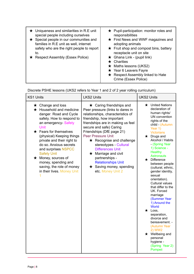| $\star$ Uniqueness and similarities in R.E unit | $\star$ Pupil-participation: monitor roles and                                                                                                                                            |
|-------------------------------------------------|-------------------------------------------------------------------------------------------------------------------------------------------------------------------------------------------|
| special people including ourselves              | responsibilities                                                                                                                                                                          |
| $\star$ Special people in our communities and   | $\star$ First News and WWF magazines and                                                                                                                                                  |
| families in R.E unit as well, internet          | adopting animals                                                                                                                                                                          |
| safety who are the right people to report       | $\star$ Fruit shop and compost bins, battery                                                                                                                                              |
| to.                                             | receptacle unit on site                                                                                                                                                                   |
| Respect Assembly (Essex Police)                 | $\star$ Ghana Link - (pupil link)<br>$\star$ Charities<br>$\star$ Maths lessons (UKS2)<br>$\star$ Year 6 Leavers Fayre<br>$\star$ Respect Assembly linked to Hate<br>Crime (Essex Police) |

Discrete PSHE lessons (UKS2 refers to Year 1 and 2 of 2 year rolling [curriculum\)](http://www.legislation.gov.uk/ukpga/2017/16/section/34/enacted)

| <b>KS1 Units</b>                                                                                                                                                                                                                                                                                                                                                                                                                        | <b>LKS2 Units</b>                                                                                                                                                                                                                                                                                                                                                                                                                                                                          | <b>UKS2 Units</b>                                                                                                                                                                                                                                                                                                                                                                                                                                                                                                                                                                                                                                                     |
|-----------------------------------------------------------------------------------------------------------------------------------------------------------------------------------------------------------------------------------------------------------------------------------------------------------------------------------------------------------------------------------------------------------------------------------------|--------------------------------------------------------------------------------------------------------------------------------------------------------------------------------------------------------------------------------------------------------------------------------------------------------------------------------------------------------------------------------------------------------------------------------------------------------------------------------------------|-----------------------------------------------------------------------------------------------------------------------------------------------------------------------------------------------------------------------------------------------------------------------------------------------------------------------------------------------------------------------------------------------------------------------------------------------------------------------------------------------------------------------------------------------------------------------------------------------------------------------------------------------------------------------|
| $\star$ Change and loss<br>$\star$ Household and medicine<br>danger. Road and Cycle<br>safety. How to respond to<br>an emergency-Safety<br><b>Unit</b><br>$\star$ Fears for themselves<br>(physical) Keeping things<br>private and their right to<br>do so. Anxious secrets<br>and surprises NSPCC<br><b>Safety Unit</b><br>$\star$ Money, sources of<br>money, spending and<br>saving, the role of money<br>in their lives. Money Unit | $\star$ Caring friendships and<br>Peer pressure (links to dares in<br>relationships, characteristics of<br>friendship, how important<br>friendships are in making us feel<br>secure and safe) Caring<br>Friendships (DfE page 21)<br><b>Peer Pressure Unit</b><br>$\star$ Recognise and challenge<br>stereotypes - Cultural<br><b>Differences Unit</b><br>$\star$ Marriage and civil<br>partnerships -<br><b>Relationships Unit</b><br>$\star$ Saving money, spending<br>etc. Money Unit 2 | $\star$ United Nations<br>declaration of<br>human rights/<br>UN convention<br>rights of the<br>child - (Autumn<br>Year 1)<br><b>Victorians</b><br>$\star$ Drugs and<br>Alcohol / Habits<br>- (Spring Year<br>1) Science -<br><b>Healthy</b><br><b>Astronauts</b><br>$\star$ Difference<br>between people<br>(cultural, ethnic,<br>gender identity,<br>sexual<br>orientation).<br>Cultural values<br>that differ to the<br>UK. Forced<br>marriage<br>(Summer Year<br>1) Around the<br>World<br>$\star$ Loss,<br>separation,<br>divorce and<br>bereavement. -<br>(Autumn Year<br>2) WW2<br>$\star$ Wellbeing and<br>personal<br>hygiene -<br>(Spring Year 2)<br>Pompeii |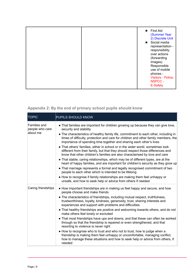|  | $\star$ First Aid<br>(Summer Year<br>2) Discrete Unit<br>$\star$ Social media<br>representation -<br>responsibility<br>over actions<br>(forwarding<br>images).<br>Responsible<br>use of mobile<br>phones -<br>Visitors - Police,<br><b>NSPCC -</b> |
|--|----------------------------------------------------------------------------------------------------------------------------------------------------------------------------------------------------------------------------------------------------|
|  | E-Safety                                                                                                                                                                                                                                           |

# <span id="page-8-0"></span>**[Appendix 2: By the end of primary school pupils should](http://www.legislation.gov.uk/ukpga/2017/16/section/34/enacted) know**

| <b>TOPIC</b>                                | <b>PUPILS SHOULD KNOW</b>                                                                                                                                                                                                                           |
|---------------------------------------------|-----------------------------------------------------------------------------------------------------------------------------------------------------------------------------------------------------------------------------------------------------|
| Families and<br>people who care<br>about me | • That families are important for children growing up because they can give love,<br>security and stability                                                                                                                                         |
|                                             | • The characteristics of healthy family life, commitment to each other, including in<br>times of difficulty, protection and care for children and other family members, the<br>importance of spending time together and sharing each other's lives  |
|                                             | • That others' families, either in school or in the wider world, sometimes look<br>different from their family, but that they should respect those differences and<br>know that other children's families are also characterised by love and care   |
|                                             | • That stable, caring relationships, which may be of different types, are at the<br>heart of happy families, and are important for children's security as they grow up                                                                              |
|                                             | • That marriage represents a formal and legally recognised commitment of two<br>people to each other which is intended to be lifelong                                                                                                               |
|                                             | • How to recognise if family relationships are making them feel unhappy or<br>unsafe, and how to seek help or advice from others if needed                                                                                                          |
| Caring friendships                          | • How important friendships are in making us feel happy and secure, and how<br>people choose and make friends                                                                                                                                       |
|                                             | • The characteristics of friendships, including mutual respect, truthfulness,<br>trustworthiness, loyalty, kindness, generosity, trust, sharing interests and<br>experiences and support with problems and difficulties                             |
|                                             | • That healthy friendships are positive and welcoming towards others, and do not<br>make others feel lonely or excluded                                                                                                                             |
|                                             | • That most friendships have ups and downs, and that these can often be worked<br>through so that the friendship is repaired or even strengthened, and that<br>resorting to violence is never right                                                 |
|                                             | • How to recognise who to trust and who not to trust, how to judge when a<br>friendship is making them feel unhappy or uncomfortable, managing conflict,<br>how to manage these situations and how to seek help or advice from others, if<br>needed |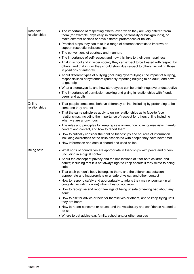| Respectful<br>relationships | • The importance of respecting others, even when they are very different from<br>them (for example, physically, in character, personality or backgrounds), or<br>make different choices or have different preferences or beliefs<br>• Practical steps they can take in a range of different contexts to improve or<br>support respectful relationships<br>• The conventions of courtesy and manners<br>• The importance of self-respect and how this links to their own happiness<br>• That in school and in wider society they can expect to be treated with respect by<br>others, and that in turn they should show due respect to others, including those<br>in positions of authority<br>• About different types of bullying (including cyberbullying), the impact of bullying,<br>responsibilities of bystanders (primarily reporting bullying to an adult) and how<br>to get help<br>• What a stereotype is, and how stereotypes can be unfair, negative or destructive<br>• The importance of permission-seeking and giving in relationships with friends,<br>peers and adults |
|-----------------------------|---------------------------------------------------------------------------------------------------------------------------------------------------------------------------------------------------------------------------------------------------------------------------------------------------------------------------------------------------------------------------------------------------------------------------------------------------------------------------------------------------------------------------------------------------------------------------------------------------------------------------------------------------------------------------------------------------------------------------------------------------------------------------------------------------------------------------------------------------------------------------------------------------------------------------------------------------------------------------------------------------------------------------------------------------------------------------------------|
| Online<br>relationships     | • That people sometimes behave differently online, including by pretending to be<br>someone they are not<br>• That the same principles apply to online relationships as to face-to face<br>relationships, including the importance of respect for others online including<br>when we are anonymous<br>• The rules and principles for keeping safe online, how to recognise risks, harmful<br>content and contact, and how to report them<br>• How to critically consider their online friendships and sources of information<br>including awareness of the risks associated with people they have never met<br>• How information and data is shared and used online                                                                                                                                                                                                                                                                                                                                                                                                                   |
| Being safe                  | • What sorts of boundaries are appropriate in friendships with peers and others<br>(including in a digital context)<br>• About the concept of privacy and the implications of it for both children and<br>adults; including that it is not always right to keep secrets if they relate to being<br>safe<br>• That each person's body belongs to them, and the differences between<br>appropriate and inappropriate or unsafe physical, and other, contact<br>• How to respond safely and appropriately to adults they may encounter (in all<br>contexts, including online) whom they do not know<br>• How to recognise and report feelings of being unsafe or feeling bad about any<br>adult<br>• How to ask for advice or help for themselves or others, and to keep trying until<br>they are heard<br>• How to report concerns or abuse, and the vocabulary and confidence needed to<br>do so<br>• Where to get advice e.g. family, school and/or other sources                                                                                                                     |